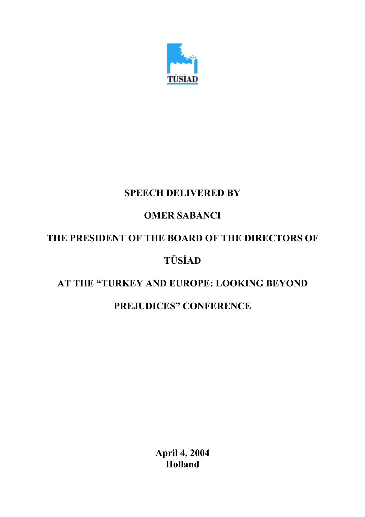

### **SPEECH DELIVERED BY**

# **OMER SABANCI**

# **THE PRESIDENT OF THE BOARD OF THE DIRECTORS OF**

## **TÜSİAD**

#### **AT THE "TURKEY AND EUROPE: LOOKING BEYOND**

#### **PREJUDICES" CONFERENCE**

**April 4, 2004 Holland**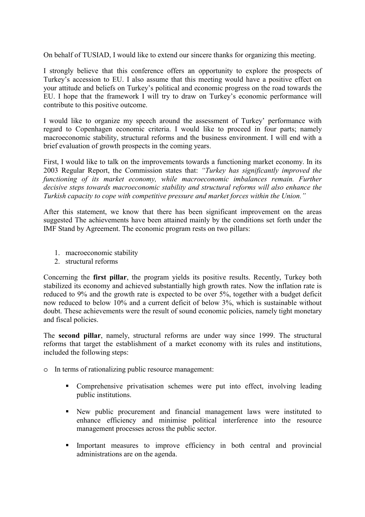On behalf of TUSIAD, I would like to extend our sincere thanks for organizing this meeting.

I strongly believe that this conference offers an opportunity to explore the prospects of Turkey's accession to EU. I also assume that this meeting would have a positive effect on your attitude and beliefs on Turkey's political and economic progress on the road towards the EU. I hope that the framework I will try to draw on Turkey's economic performance will contribute to this positive outcome.

I would like to organize my speech around the assessment of Turkey' performance with regard to Copenhagen economic criteria. I would like to proceed in four parts; namely macroeconomic stability, structural reforms and the business environment. I will end with a brief evaluation of growth prospects in the coming years.

First, I would like to talk on the improvements towards a functioning market economy. In its 2003 Regular Report, the Commission states that: *"Turkey has significantly improved the functioning of its market economy, while macroeconomic imbalances remain. Further decisive steps towards macroeconomic stability and structural reforms will also enhance the Turkish capacity to cope with competitive pressure and market forces within the Union."* 

After this statement, we know that there has been significant improvement on the areas suggested The achievements have been attained mainly by the conditions set forth under the IMF Stand by Agreement. The economic program rests on two pillars:

- 1. macroeconomic stability
- 2. structural reforms

Concerning the **first pillar**, the program yields its positive results. Recently, Turkey both stabilized its economy and achieved substantially high growth rates. Now the inflation rate is reduced to 9% and the growth rate is expected to be over 5%, together with a budget deficit now reduced to below 10% and a current deficit of below 3%, which is sustainable without doubt. These achievements were the result of sound economic policies, namely tight monetary and fiscal policies.

The **second pillar**, namely, structural reforms are under way since 1999. The structural reforms that target the establishment of a market economy with its rules and institutions, included the following steps:

- o In terms of rationalizing public resource management:
	- Comprehensive privatisation schemes were put into effect, involving leading public institutions.
	- New public procurement and financial management laws were instituted to enhance efficiency and minimise political interference into the resource management processes across the public sector.
	- Important measures to improve efficiency in both central and provincial administrations are on the agenda.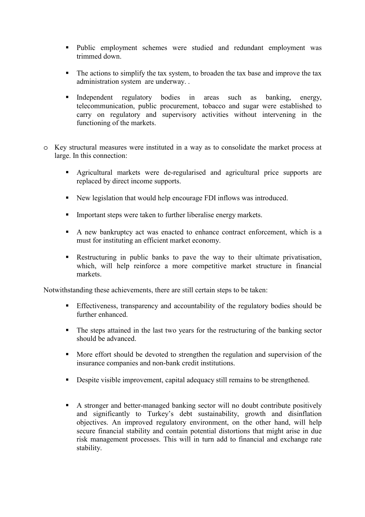- Public employment schemes were studied and redundant employment was trimmed down.
- The actions to simplify the tax system, to broaden the tax base and improve the tax administration system are underway. .
- Independent regulatory bodies in areas such as banking, energy, telecommunication, public procurement, tobacco and sugar were established to carry on regulatory and supervisory activities without intervening in the functioning of the markets.
- o Key structural measures were instituted in a way as to consolidate the market process at large. In this connection:
	- Agricultural markets were de-regularised and agricultural price supports are replaced by direct income supports.
	- New legislation that would help encourage FDI inflows was introduced.
	- Important steps were taken to further liberalise energy markets.
	- A new bankruptcy act was enacted to enhance contract enforcement, which is a must for instituting an efficient market economy.
	- Restructuring in public banks to pave the way to their ultimate privatisation, which, will help reinforce a more competitive market structure in financial markets.

Notwithstanding these achievements, there are still certain steps to be taken:

- Effectiveness, transparency and accountability of the regulatory bodies should be further enhanced.
- The steps attained in the last two years for the restructuring of the banking sector should be advanced.
- More effort should be devoted to strengthen the regulation and supervision of the insurance companies and non-bank credit institutions.
- Despite visible improvement, capital adequacy still remains to be strengthened.
- A stronger and better-managed banking sector will no doubt contribute positively and significantly to Turkey's debt sustainability, growth and disinflation objectives. An improved regulatory environment, on the other hand, will help secure financial stability and contain potential distortions that might arise in due risk management processes. This will in turn add to financial and exchange rate stability.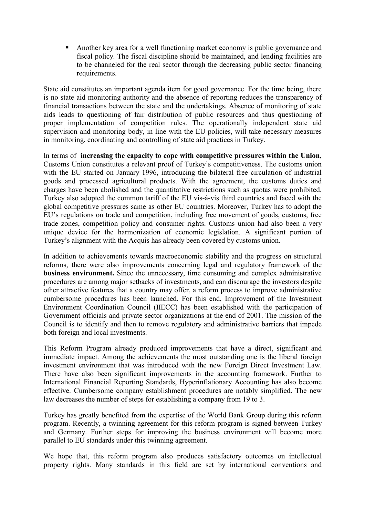Another key area for a well functioning market economy is public governance and fiscal policy. The fiscal discipline should be maintained, and lending facilities are to be channeled for the real sector through the decreasing public sector financing requirements.

State aid constitutes an important agenda item for good governance. For the time being, there is no state aid monitoring authority and the absence of reporting reduces the transparency of financial transactions between the state and the undertakings. Absence of monitoring of state aids leads to questioning of fair distribution of public resources and thus questioning of proper implementation of competition rules. The operationally independent state aid supervision and monitoring body, in line with the EU policies, will take necessary measures in monitoring, coordinating and controlling of state aid practices in Turkey.

In terms of **increasing the capacity to cope with competitive pressures within the Union**, Customs Union constitutes a relevant proof of Turkey's competitiveness. The customs union with the EU started on January 1996, introducing the bilateral free circulation of industrial goods and processed agricultural products. With the agreement, the customs duties and charges have been abolished and the quantitative restrictions such as quotas were prohibited. Turkey also adopted the common tariff of the EU vis-à-vis third countries and faced with the global competitive pressures same as other EU countries. Moreover, Turkey has to adopt the EU's regulations on trade and competition, including free movement of goods, customs, free trade zones, competition policy and consumer rights. Customs union had also been a very unique device for the harmonization of economic legislation. A significant portion of Turkey's alignment with the Acquis has already been covered by customs union.

In addition to achievements towards macroeconomic stability and the progress on structural reforms, there were also improvements concerning legal and regulatory framework of the **business environment.** Since the unnecessary, time consuming and complex administrative procedures are among major setbacks of investments, and can discourage the investors despite other attractive features that a country may offer, a reform process to improve administrative cumbersome procedures has been launched. For this end, Improvement of the Investment Environment Coordination Council (IIECC) has been established with the participation of Government officials and private sector organizations at the end of 2001. The mission of the Council is to identify and then to remove regulatory and administrative barriers that impede both foreign and local investments.

This Reform Program already produced improvements that have a direct, significant and immediate impact. Among the achievements the most outstanding one is the liberal foreign investment environment that was introduced with the new Foreign Direct Investment Law. There have also been significant improvements in the accounting framework. Further to International Financial Reporting Standards, Hyperinflationary Accounting has also become effective. Cumbersome company establishment procedures are notably simplified. The new law decreases the number of steps for establishing a company from 19 to 3.

Turkey has greatly benefited from the expertise of the World Bank Group during this reform program. Recently, a twinning agreement for this reform program is signed between Turkey and Germany. Further steps for improving the business environment will become more parallel to EU standards under this twinning agreement.

We hope that, this reform program also produces satisfactory outcomes on intellectual property rights. Many standards in this field are set by international conventions and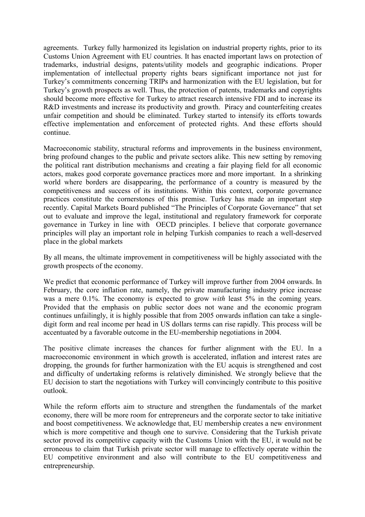agreements. Turkey fully harmonized its legislation on industrial property rights, prior to its Customs Union Agreement with EU countries. It has enacted important laws on protection of trademarks, industrial designs, patents/utility models and geographic indications. Proper implementation of intellectual property rights bears significant importance not just for Turkey's commitments concerning TRIPs and harmonization with the EU legislation, but for Turkey's growth prospects as well. Thus, the protection of patents, trademarks and copyrights should become more effective for Turkey to attract research intensive FDI and to increase its R&D investments and increase its productivity and growth. Piracy and counterfeiting creates unfair competition and should be eliminated. Turkey started to intensify its efforts towards effective implementation and enforcement of protected rights. And these efforts should continue.

Macroeconomic stability, structural reforms and improvements in the business environment, bring profound changes to the public and private sectors alike. This new setting by removing the political rant distribution mechanisms and creating a fair playing field for all economic actors, makes good corporate governance practices more and more important. In a shrinking world where borders are disappearing, the performance of a country is measured by the competitiveness and success of its institutions. Within this context, corporate governance practices constitute the cornerstones of this premise. Turkey has made an important step recently. Capital Markets Board published "The Principles of Corporate Governance" that set out to evaluate and improve the legal, institutional and regulatory framework for corporate governance in Turkey in line with OECD principles. I believe that corporate governance principles will play an important role in helping Turkish companies to reach a well-deserved place in the global markets

By all means, the ultimate improvement in competitiveness will be highly associated with the growth prospects of the economy.

We predict that economic performance of Turkey will improve further from 2004 onwards. In February, the core inflation rate, namely, the private manufacturing industry price increase was a mere 0.1%. The economy is expected to grow *with* least 5% in the coming years. Provided that the emphasis on public sector does not wane and the economic program continues unfailingly, it is highly possible that from 2005 onwards inflation can take a singledigit form and real income per head in US dollars terms can rise rapidly. This process will be accentuated by a favorable outcome in the EU-membership negotiations in 2004.

The positive climate increases the chances for further alignment with the EU. In a macroeconomic environment in which growth is accelerated, inflation and interest rates are dropping, the grounds for further harmonization with the EU acquis is strengthened and cost and difficulty of undertaking reforms is relatively diminished. We strongly believe that the EU decision to start the negotiations with Turkey will convincingly contribute to this positive outlook.

While the reform efforts aim to structure and strengthen the fundamentals of the market economy, there will be more room for entrepreneurs and the corporate sector to take initiative and boost competitiveness. We acknowledge that, EU membership creates a new environment which is more competitive and though one to survive. Considering that the Turkish private sector proved its competitive capacity with the Customs Union with the EU, it would not be erroneous to claim that Turkish private sector will manage to effectively operate within the EU competitive environment and also will contribute to the EU competitiveness and entrepreneurship.